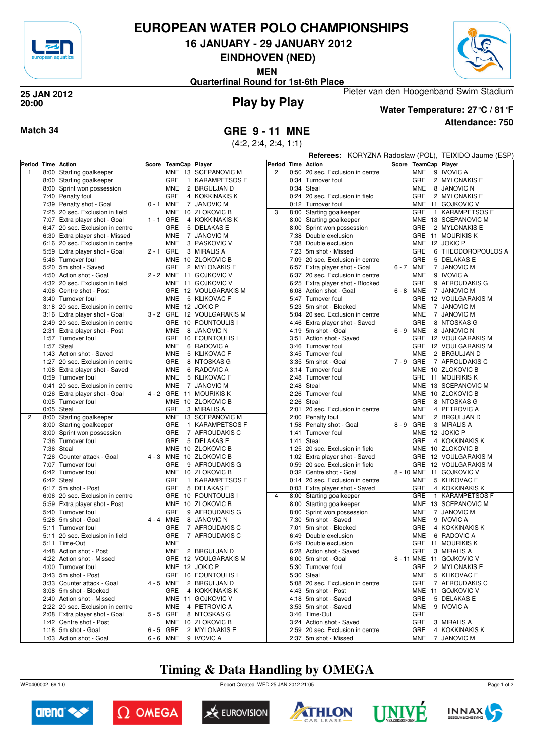

## **EUROPEAN WATER POLO CHAMPIONSHIPS**

**16 JANUARY - 29 JANUARY 2012**

**EINDHOVEN (NED)**

**MEN**



Pieter van den Hoogenband Swim Stadium **Quarterfinal Round for 1st-6th Place**

#### **Play by Play 25 JAN 2012 20:00**



**Attendance: 750 Water Temperature: 27°C / 81°F**

#### **Match 34 GRE 9 - 11 MNE**

(4:2, 2:4, 2:4, 1:1)

|                    |                                                     |             |                      |                                              |                |      |                                                            |                      |                          | Referees: KORYZNA Radoslaw (POL), TEIXIDO Jaume (ESP) |
|--------------------|-----------------------------------------------------|-------------|----------------------|----------------------------------------------|----------------|------|------------------------------------------------------------|----------------------|--------------------------|-------------------------------------------------------|
| Period Time Action |                                                     |             | Score TeamCap Player |                                              | Period         |      | <b>Time Action</b>                                         | Score TeamCap Player |                          |                                                       |
| $\overline{1}$     | 8:00 Starting goalkeeper                            |             |                      | MNE 13 SCEPANOVIC M                          | $\overline{c}$ | 0:50 | 20 sec. Exclusion in centre                                |                      | <b>MNE</b>               | 9 IVOVIC A                                            |
|                    | 8:00 Starting goalkeeper                            |             | GRE                  | 1 KARAMPETSOS F                              |                |      | 0:34 Turnover foul                                         |                      | GRE                      | 2 MYLONAKIS E                                         |
|                    | 8:00 Sprint won possession                          |             | <b>MNE</b>           | 2 BRGULJAN D                                 |                |      | 0:34 Steal                                                 |                      | <b>MNE</b>               | 8 JANOVIC N                                           |
|                    | 7:40 Penalty foul                                   |             | <b>GRE</b>           | 4 KOKKINAKIS K                               |                |      | 0:24 20 sec. Exclusion in field                            |                      | <b>GRE</b>               | 2 MYLONAKIS E                                         |
|                    | 7:39 Penalty shot - Goal                            | 0-1 MNE     |                      | 7 JANOVIC M                                  |                |      | 0:12 Turnover foul                                         |                      |                          | MNE 11 GOJKOVIC V                                     |
|                    | 7:25 20 sec. Exclusion in field                     |             | MNE                  | 10 ZLOKOVIC B                                | 3              | 8:00 | Starting goalkeeper                                        |                      | GRE                      | 1 KARAMPETSOS F                                       |
|                    | 7:07 Extra player shot - Goal                       | $1 - 1$ GRE |                      | 4 KOKKINAKIS K                               |                |      | 8:00 Starting goalkeeper                                   |                      |                          | MNE 13 SCEPANOVIC M                                   |
|                    | 6:47 20 sec. Exclusion in centre                    |             | GRE                  | 5 DELAKAS E                                  |                |      | 8:00 Sprint won possession                                 |                      | GRE                      | 2 MYLONAKIS E                                         |
|                    | 6:30 Extra player shot - Missed                     |             | <b>MNE</b><br>7      | <b>JANOVIC M</b>                             |                |      | 7:38 Double exclusion                                      |                      |                          | GRE 11 MOURIKIS K                                     |
|                    | 6:16 20 sec. Exclusion in centre                    |             | <b>MNE</b>           | 3 PASKOVIC V                                 |                |      | 7:38 Double exclusion                                      |                      |                          | MNE 12 JOKIC P                                        |
|                    | 5:59 Extra player shot - Goal                       | $2 - 1$ GRE |                      | 3 MIRALIS A                                  |                |      | 7:23 5m shot - Missed                                      |                      | <b>GRE</b>               | 6 THEODOROPOULOS A                                    |
|                    | 5:46 Turnover foul                                  |             |                      | MNE 10 ZLOKOVIC B                            |                |      | 7:09 20 sec. Exclusion in centre                           |                      | GRE                      | 5 DELAKAS E                                           |
|                    | 5:20 5m shot - Saved                                |             | GRE                  | 2 MYLONAKIS E                                |                |      | 6:57 Extra player shot - Goal                              | 6-7 MNE              |                          | 7 JANOVIC M                                           |
|                    | 4:50 Action shot - Goal                             |             |                      | 2 - 2 MNE 11 GOJKOVIC V                      |                |      | 6:37 20 sec. Exclusion in centre                           |                      | MNE                      | 9 IVOVIC A                                            |
|                    | 4:32 20 sec. Exclusion in field                     |             |                      | MNE 11 GOJKOVIC V                            |                |      | 6:25 Extra player shot - Blocked                           |                      | GRE                      | 9 AFROUDAKIS G                                        |
|                    | 4:06 Centre shot - Post                             |             |                      | GRE 12 VOULGARAKIS M                         |                |      | 6:08 Action shot - Goal                                    |                      | 6-8 MNE                  | 7 JANOVIC M                                           |
|                    | 3:40 Turnover foul                                  |             | <b>MNE</b>           | 5 KLIKOVAC F                                 |                |      | 5:47 Turnover foul                                         |                      |                          | GRE 12 VOULGARAKIS M                                  |
|                    | 3:18 20 sec. Exclusion in centre                    |             |                      | MNE 12 JOKIC P                               |                |      | 5:23 5m shot - Blocked                                     |                      | <b>MNE</b>               | 7 JANOVIC M                                           |
|                    | 3:16 Extra player shot - Goal                       |             |                      | 3 - 2 GRE 12 VOULGARAKIS M                   |                |      | 5:04 20 sec. Exclusion in centre                           |                      | <b>MNE</b>               | 7 JANOVIC M                                           |
|                    | 2:49 20 sec. Exclusion in centre                    |             |                      | GRE 10 FOUNTOULIS I                          |                |      | 4:46 Extra player shot - Saved                             |                      | GRE                      | 8 NTOSKAS G                                           |
|                    | 2:31 Extra player shot - Post                       |             | <b>MNE</b>           | 8 JANOVIC N                                  |                |      | 4:19 5m shot - Goal                                        | 6-9 MNE              |                          | 8 JANOVIC N                                           |
|                    | 1:57 Turnover foul                                  |             |                      | GRE 10 FOUNTOULIS I                          |                | 3:51 | Action shot - Saved                                        |                      |                          | GRE 12 VOULGARAKIS M                                  |
|                    | 1:57 Steal                                          |             | <b>MNE</b>           | 6 RADOVIC A                                  |                |      | 3:46 Turnover foul                                         |                      |                          | GRE 12 VOULGARAKIS M                                  |
|                    | 1:43 Action shot - Saved                            |             | <b>MNE</b>           | 5 KLIKOVAC F                                 |                |      | 3:45 Turnover foul                                         |                      | <b>MNE</b>               | 2 BRGULJAN D                                          |
|                    | 1:27 20 sec. Exclusion in centre                    |             | GRE                  | 8 NTOSKAS G                                  |                |      | 3:35 5m shot - Goal                                        | 7-9 GRE              |                          | 7 AFROUDAKIS C                                        |
|                    | 1:08 Extra player shot - Saved                      |             | <b>MNE</b>           | 6 RADOVIC A                                  |                |      | 3:14 Turnover foul                                         |                      | <b>MNE</b>               | 10 ZLOKOVIC B                                         |
|                    | 0:59 Turnover foul                                  |             | <b>MNE</b>           | 5 KLIKOVAC F                                 |                |      | 2:48 Turnover foul                                         |                      |                          | GRE 11 MOURIKIS K                                     |
|                    | 0:41 20 sec. Exclusion in centre                    |             | <b>MNE</b>           | 7 JANOVIC M                                  |                | 2:48 | Steal                                                      |                      |                          | MNE 13 SCEPANOVIC M                                   |
|                    | 0:26 Extra player shot - Goal                       |             |                      | 4 - 2 GRE 11 MOURIKIS K                      |                |      | 2:26 Turnover foul                                         |                      |                          | MNE 10 ZLOKOVIC B                                     |
|                    | 0:05 Turnover foul                                  |             |                      | MNE 10 ZLOKOVIC B                            |                |      | 2:26 Steal                                                 |                      | GRE                      | 8 NTOSKAS G                                           |
|                    | 0:05 Steal                                          |             | GRE                  |                                              |                |      | 20 sec. Exclusion in centre                                |                      | <b>MNE</b>               | 4 PETROVIC A                                          |
| $\overline{2}$     |                                                     |             |                      | 3 MIRALIS A<br>MNE 13 SCEPANOVIC M           |                | 2:01 | 2:00 Penalty foul                                          |                      | <b>MNE</b>               | 2 BRGULJAN D                                          |
|                    | 8:00 Starting goalkeeper                            |             | GRE                  | 1 KARAMPETSOS F                              |                |      |                                                            | 8-9 GRE              |                          | 3 MIRALIS A                                           |
|                    | 8:00 Starting goalkeeper                            |             |                      |                                              |                |      | 1:58 Penalty shot - Goal                                   |                      |                          |                                                       |
|                    | 8:00 Sprint won possession                          |             | GRE                  | 7 AFROUDAKIS C                               |                | 1:41 | Turnover foul                                              |                      |                          | MNE 12 JOKIC P                                        |
|                    | 7:36 Turnover foul                                  |             | GRE                  | 5 DELAKAS E                                  |                | 1:41 | Steal                                                      |                      | GRE                      | 4 KOKKINAKIS K                                        |
|                    | 7:36 Steal                                          |             |                      | MNE 10 ZLOKOVIC B<br>4 - 3 MNE 10 ZLOKOVIC B |                |      | 1:25 20 sec. Exclusion in field                            |                      |                          | MNE 10 ZLOKOVIC B<br>GRE 12 VOULGARAKIS M             |
|                    | 7:26 Counter attack - Goal<br>7:07 Turnover foul    |             |                      |                                              |                |      | 1:02 Extra player shot - Saved                             |                      |                          |                                                       |
|                    |                                                     |             | GRE                  | 9 AFROUDAKIS G                               |                |      | 0:59 20 sec. Exclusion in field<br>0:32 Centre shot - Goal |                      |                          | GRE 12 VOULGARAKIS M                                  |
|                    | 6:42 Turnover foul                                  |             |                      | MNE 10 ZLOKOVIC B                            |                |      |                                                            |                      |                          | 8 - 10 MNE 11 GOJKOVIC V                              |
|                    | 6:42 Steal                                          |             | GRE                  | 1 KARAMPETSOS F                              |                |      | 0:14 20 sec. Exclusion in centre                           |                      | <b>MNE</b>               | 5 KLIKOVAC F                                          |
|                    | 6:17 5m shot - Post                                 |             | GRE                  | 5 DELAKAS E                                  | $\overline{4}$ |      | 0:03 Extra player shot - Saved                             |                      | GRE<br>GRE               | 4 KOKKINAKIS K                                        |
|                    | 6:06 20 sec. Exclusion in centre                    |             |                      | GRE 10 FOUNTOULIS I                          |                |      | 8:00 Starting goalkeeper                                   |                      |                          | 1 KARAMPETSOS F                                       |
|                    | 5:59 Extra player shot - Post<br>5:40 Turnover foul |             | GRE                  | MNE 10 ZLOKOVIC B<br>9 AFROUDAKIS G          |                | 8:00 | Starting goalkeeper                                        |                      |                          | MNE 13 SCEPANOVIC M                                   |
|                    |                                                     |             |                      | 8 JANOVIC N                                  |                | 8:00 | Sprint won possession<br>5m shot - Saved                   |                      | MNE                      | 7 JANOVIC M<br>9 IVOVIC A                             |
|                    | 5:28 5m shot - Goal                                 | 4 - 4 MNE   | GRE                  |                                              |                | 7:30 |                                                            |                      | <b>MNE</b><br><b>GRE</b> |                                                       |
|                    | 5:11 Turnover foul                                  |             |                      | 7 AFROUDAKIS C                               |                | 7:01 | 5m shot - Blocked                                          |                      |                          | 4 KOKKINAKIS K<br>6 RADOVIC A                         |
|                    | 5:11 20 sec. Exclusion in field                     |             | GRE                  | 7 AFROUDAKIS C                               |                | 6:49 | Double exclusion                                           |                      | <b>MNE</b>               |                                                       |
|                    | 5:11 Time-Out                                       |             | <b>MNE</b>           |                                              |                |      | 6:49 Double exclusion                                      |                      |                          | GRE 11 MOURIKIS K                                     |
|                    | 4:48 Action shot - Post                             |             | <b>MNE</b>           | 2 BRGULJAN D                                 |                |      | 6:28 Action shot - Saved                                   |                      |                          | GRE 3 MIRALIS A                                       |
|                    | 4:22 Action shot - Missed                           |             |                      | GRE 12 VOULGARAKIS M                         |                |      | 6:00 5m shot - Goal                                        |                      |                          | 8 - 11 MNE 11 GOJKOVIC V                              |
|                    | 4:00 Turnover foul                                  |             |                      | MNE 12 JOKIC P                               |                |      | 5:30 Turnover foul                                         |                      |                          | GRE 2 MYLONAKIS E                                     |
|                    | 3:43 5m shot - Post                                 |             |                      | GRE 10 FOUNTOULIS I                          |                |      | 5:30 Steal                                                 |                      | MNE                      | 5 KLIKOVAC F                                          |
|                    | 3:33 Counter attack - Goal                          |             |                      | 4 - 5 MNE 2 BRGULJAN D                       |                |      | 5:08 20 sec. Exclusion in centre                           |                      |                          | GRE 7 AFROUDAKIS C                                    |
|                    | 3:08 5m shot - Blocked                              |             |                      | GRE 4 KOKKINAKIS K                           |                |      | 4:43 5m shot - Post                                        |                      |                          | MNE 11 GOJKOVIC V                                     |
|                    | 2:40 Action shot - Missed                           |             |                      | MNE 11 GOJKOVIC V                            |                |      | 4:18 5m shot - Saved                                       |                      | GRE                      | 5 DELAKAS E                                           |
|                    | 2:22 20 sec. Exclusion in centre                    |             |                      | MNE 4 PETROVIC A                             |                |      | 3:53 5m shot - Saved                                       |                      | <b>MNE</b>               | 9 IVOVIC A                                            |
|                    | 2:08 Extra player shot - Goal                       |             | 5-5 GRE              | 8 NTOSKAS G                                  |                |      | 3:46 Time-Out                                              |                      | GRE                      |                                                       |
|                    | 1:42 Centre shot - Post                             |             |                      | MNE 10 ZLOKOVIC B                            |                |      | 3:24 Action shot - Saved                                   |                      | GRE                      | 3 MIRALIS A                                           |
|                    | 1:18 5m shot - Goal                                 | $6 - 5$ GRE |                      | 2 MYLONAKIS E                                |                |      | 2:59 20 sec. Exclusion in centre                           |                      | <b>GRE</b>               | 4 KOKKINAKIS K                                        |
|                    | 1:03 Action shot - Goal                             |             |                      | 6 - 6 MNE 9 IVOVIC A                         |                |      | 2:37 5m shot - Missed                                      |                      |                          | MNE 7 JANOVIC M                                       |

## **Timing & Data Handling by OMEGA**

WP0400002\_69 1.0 Report Created WED 25 JAN 2012 21:05













Page 1 of 2